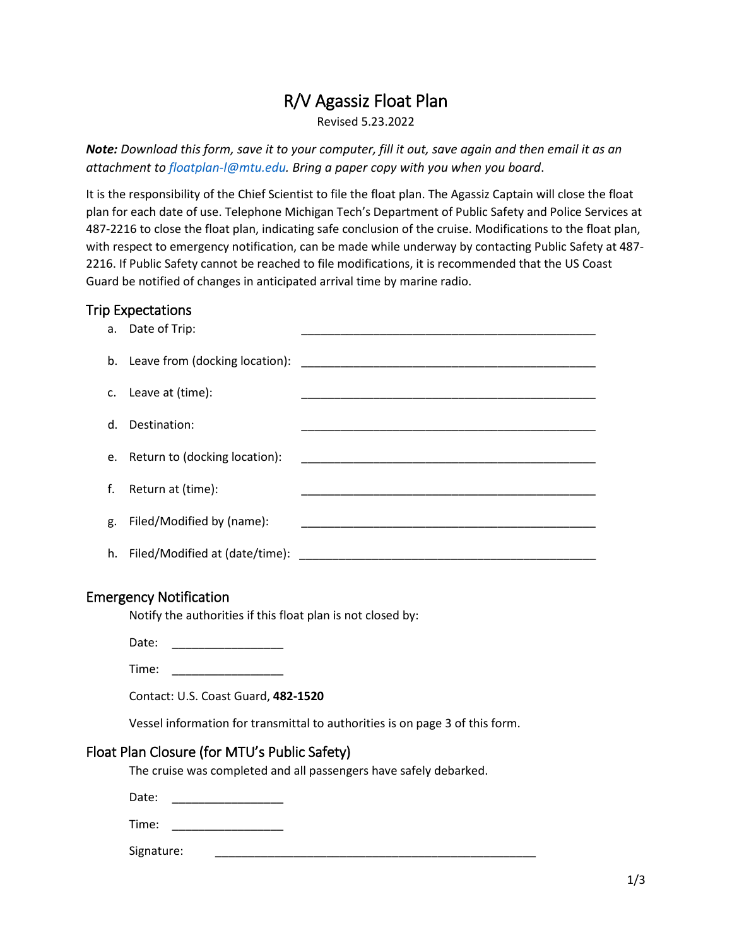# R/V Agassiz Float Plan

Revised 5.23.2022

*Note: Download this form, save it to your computer, fill it out, save again and then email it as an attachment to floatplan-l@mtu.edu. Bring a paper copy with you when you board*.

It is the responsibility of the Chief Scientist to file the float plan. The Agassiz Captain will close the float plan for each date of use. Telephone Michigan Tech's Department of Public Safety and Police Services at 487-2216 to close the float plan, indicating safe conclusion of the cruise. Modifications to the float plan, with respect to emergency notification, can be made while underway by contacting Public Safety at 487- 2216. If Public Safety cannot be reached to file modifications, it is recommended that the US Coast Guard be notified of changes in anticipated arrival time by marine radio.

#### Trip Expectations

| а. | Date of Trip:                     |                                                                                           |
|----|-----------------------------------|-------------------------------------------------------------------------------------------|
|    | b. Leave from (docking location): |                                                                                           |
|    | c. Leave at (time):               |                                                                                           |
|    | d. Destination:                   |                                                                                           |
|    | e. Return to (docking location):  |                                                                                           |
|    |                                   | the control of the control of the control of the control of the control of the control of |
|    | f. Return at (time):              |                                                                                           |
| g. | Filed/Modified by (name):         |                                                                                           |
| h. | Filed/Modified at (date/time):    |                                                                                           |

#### Emergency Notification

Notify the authorities if this float plan is not closed by:

Date: \_\_\_\_\_\_\_\_\_\_\_\_\_\_\_\_\_

Time: \_\_\_\_\_\_\_\_\_\_\_\_\_\_\_\_\_

Contact: U.S. Coast Guard, **482-1520**

Vessel information for transmittal to authorities is on page 3 of this form.

\_\_\_\_\_\_\_\_\_\_\_\_\_\_\_\_\_\_\_\_\_\_\_\_\_\_\_\_\_\_\_\_\_\_\_\_\_\_\_\_\_\_\_\_\_\_\_\_\_

#### Float Plan Closure (for MTU's Public Safety)

The cruise was completed and all passengers have safely debarked.

Date:

Time: \_\_\_\_\_\_\_\_\_\_\_\_\_\_\_\_\_\_\_\_\_\_\_\_

Signature: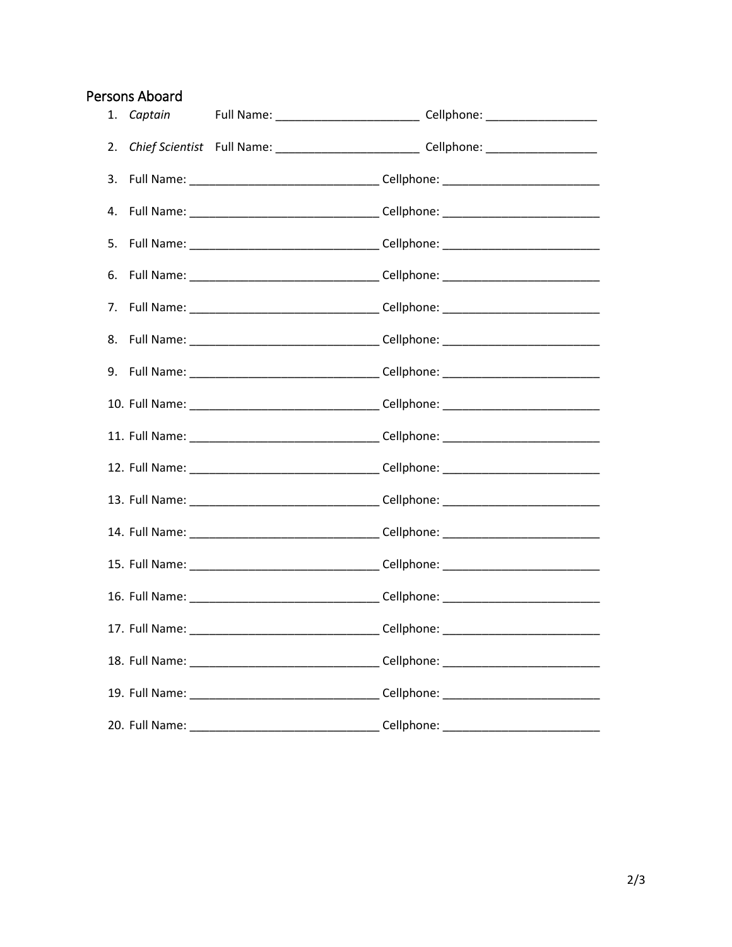## Persons Aboard

| 1. Captain |                                                                                                     |
|------------|-----------------------------------------------------------------------------------------------------|
|            | 2. Chief Scientist Full Name: _______________________________Cellphone: ___________________________ |
|            | 3. Full Name: ___________________________________Cellphone: ____________________                    |
|            | 4. Full Name: __________________________________Cellphone: _____________________                    |
|            | 5. Full Name: _________________________________Cellphone: ______________________                    |
|            | 6. Full Name: __________________________________Cellphone: _____________________                    |
|            | 7. Full Name: __________________________________Cellphone: _____________________                    |
|            | 8. Full Name: __________________________________Cellphone: _____________________                    |
|            | 9. Full Name: ___________________________________Cellphone: ____________________                    |
|            | 10. Full Name: __________________________________Cellphone: ____________________                    |
|            | 11. Full Name: _________________________________Cellphone: _____________________                    |
|            | 12. Full Name: __________________________________Cellphone: ____________________                    |
|            | 13. Full Name: _________________________________Cellphone: _____________________                    |
|            | 14. Full Name: ___________________________________Cellphone: ___________________                    |
|            |                                                                                                     |
|            |                                                                                                     |
|            | 17. Full Name: ___________________________________Cellphone: ___________________                    |
|            |                                                                                                     |
|            |                                                                                                     |
|            |                                                                                                     |